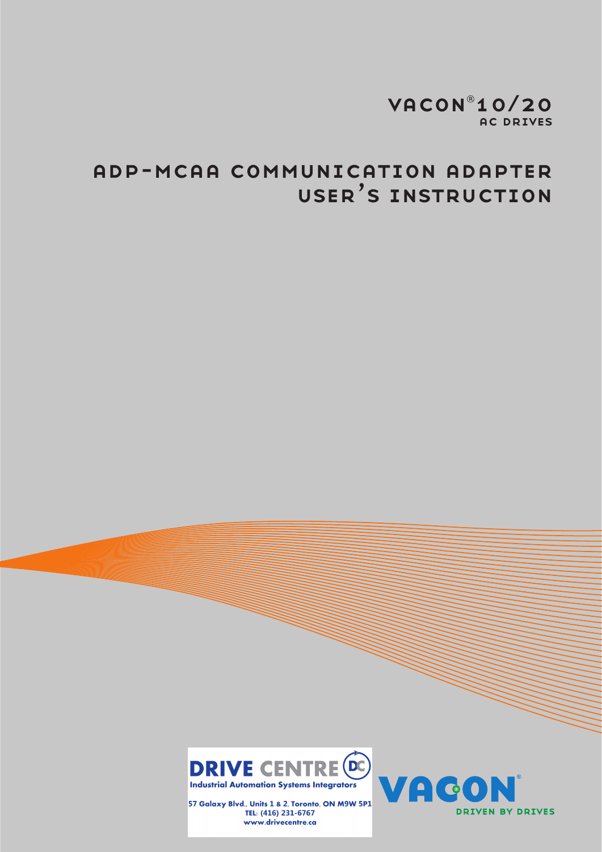# VACON<sup>®</sup>10/20 **AC DRIVES**

# ADP-MCAA COMMUNICATION ADAPTER **USER'S INSTRUCTION**



57 Galaxy Blvd., Units 1 & 2, Toronto, ON M9W 5P1 TEL: (416) 231-6767 www.drivecentre.ca

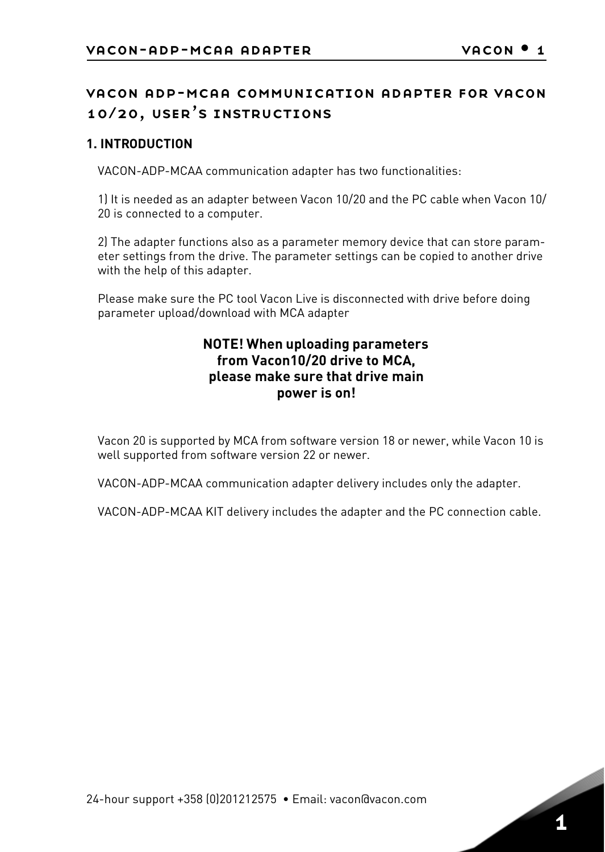# vacon adp-mcaa communication adapter for vacon 10/20, user's instructions

#### **1. INTRODUCTION**

VACON-ADP-MCAA communication adapter has two functionalities:

1) It is needed as an adapter between Vacon 10/20 and the PC cable when Vacon 10/ 20 is connected to a computer.

2) The adapter functions also as a parameter memory device that can store parameter settings from the drive. The parameter settings can be copied to another drive with the help of this adapter.

Please make sure the PC tool Vacon Live is disconnected with drive before doing parameter upload/download with MCA adapter

## **NOTE! When uploading parameters from Vacon10/20 drive to MCA, please make sure that drive main power is on!**

Vacon 20 is supported by MCA from software version 18 or newer, while Vacon 10 is well supported from software version 22 or newer.

VACON-ADP-MCAA communication adapter delivery includes only the adapter.

VACON-ADP-MCAA KIT delivery includes the adapter and the PC connection cable.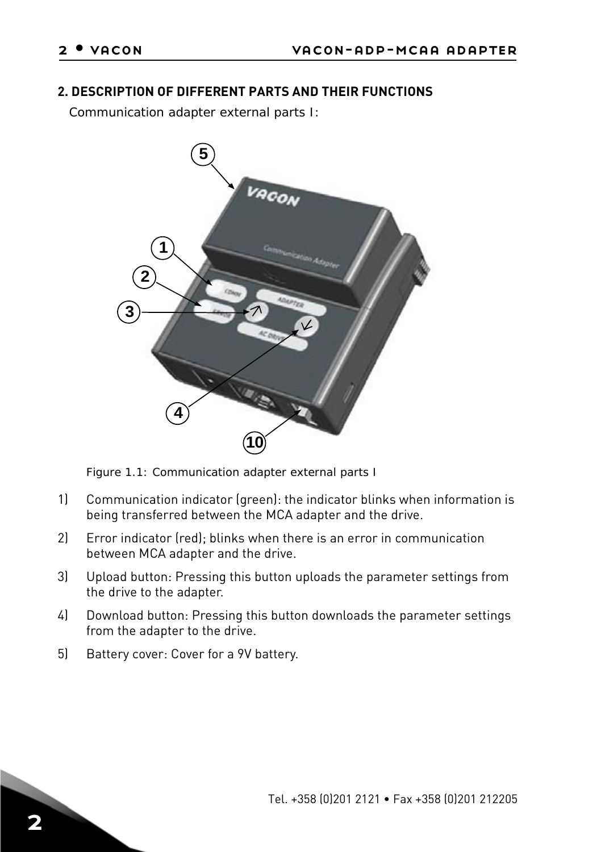#### **2. DESCRIPTION OF DIFFERENT PARTS AND THEIR FUNCTIONS**

*Communication adapter external parts I:*



*Figure 1.1: Communication adapter external parts I*

- 1) Communication indicator (green): the indicator blinks when information is being transferred between the MCA adapter and the drive.
- 2) Error indicator (red); blinks when there is an error in communication between MCA adapter and the drive.
- 3) Upload button: Pressing this button uploads the parameter settings from the drive to the adapter.
- 4) Download button: Pressing this button downloads the parameter settings from the adapter to the drive.
- 5) Battery cover: Cover for a 9V battery.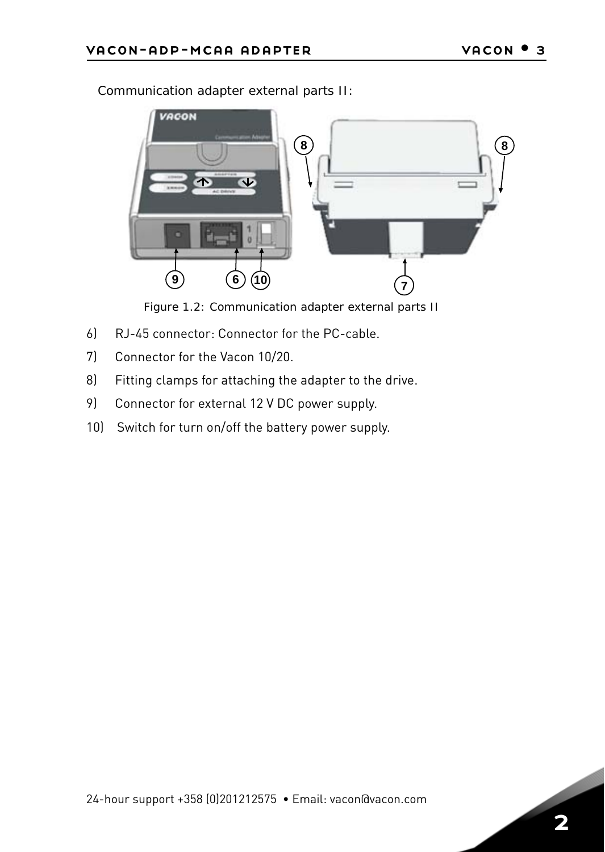

*Communication adapter external parts II:*

*Figure 1.2: Communication adapter external parts II*

- <span id="page-4-0"></span>6) RJ-45 connector: Connector for the PC-cable.
- 7) Connector for the Vacon 10/20.
- 8) Fitting clamps for attaching the adapter to the drive.
- 9) Connector for external 12 V DC power supply.
- 10) Switch for turn on/off the battery power supply.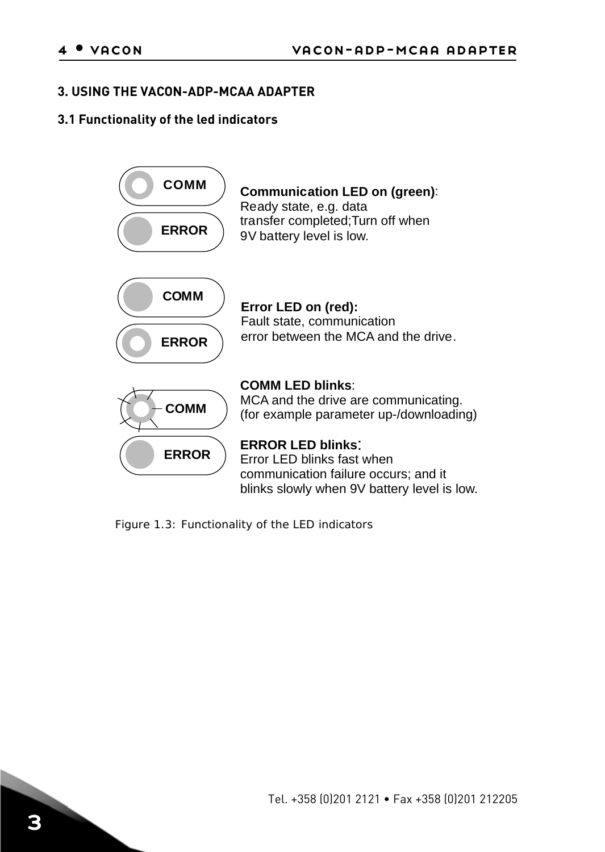#### **3. USING THE VACON-ADP-MCAA ADAPTER**

#### **3.1 Functionality of the led indicators**



*Figure 1.3: Functionality of the LED indicators*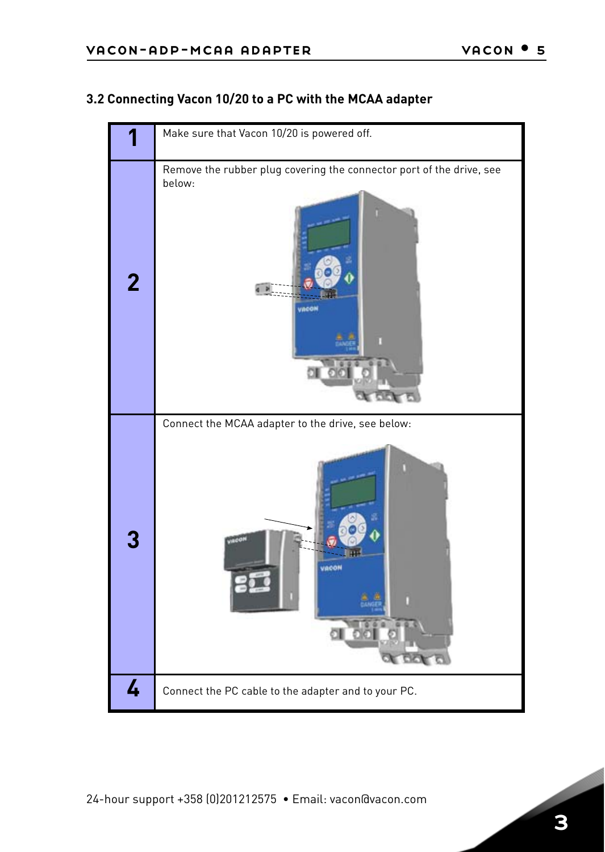## <span id="page-6-0"></span>**3.2 Connecting Vacon 10/20 to a PC with the MCAA adapter**

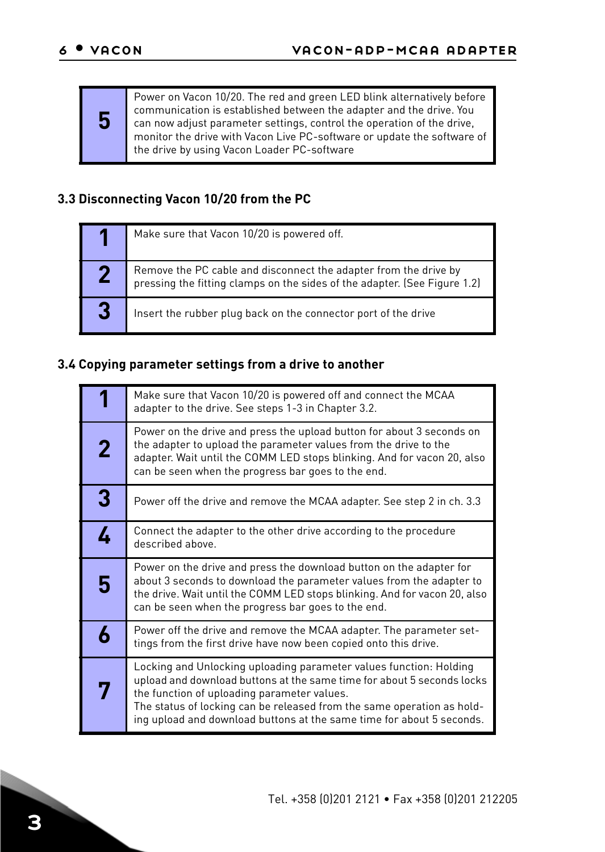**5**

Power on Vacon 10/20. The red and green LED blink alternatively before communication is established between the adapter and the drive. You can now adjust parameter settings, control the operation of the drive, monitor the drive with Vacon Live PC-software or update the software of the drive by using Vacon Loader PC-software

## <span id="page-7-0"></span>**3.3 Disconnecting Vacon 10/20 from the PC**

|   | Make sure that Vacon 10/20 is powered off.                                                                                                    |
|---|-----------------------------------------------------------------------------------------------------------------------------------------------|
|   | Remove the PC cable and disconnect the adapter from the drive by<br>pressing the fitting clamps on the sides of the adapter. (See Figure 1.2) |
| 3 | Insert the rubber plug back on the connector port of the drive                                                                                |

# **3.4 Copying parameter settings from a drive to another**

|   | Make sure that Vacon 10/20 is powered off and connect the MCAA<br>adapter to the drive. See steps 1-3 in Chapter 3.2.                                                                                                                                                                                                                          |
|---|------------------------------------------------------------------------------------------------------------------------------------------------------------------------------------------------------------------------------------------------------------------------------------------------------------------------------------------------|
| 2 | Power on the drive and press the upload button for about 3 seconds on<br>the adapter to upload the parameter values from the drive to the<br>adapter. Wait until the COMM LED stops blinking. And for vacon 20, also<br>can be seen when the progress bar goes to the end.                                                                     |
| 3 | Power off the drive and remove the MCAA adapter. See step 2 in ch. 3.3                                                                                                                                                                                                                                                                         |
| 4 | Connect the adapter to the other drive according to the procedure<br>described above.                                                                                                                                                                                                                                                          |
| 5 | Power on the drive and press the download button on the adapter for<br>about 3 seconds to download the parameter values from the adapter to<br>the drive. Wait until the COMM LED stops blinking. And for vacon 20, also<br>can be seen when the progress bar goes to the end.                                                                 |
| 6 | Power off the drive and remove the MCAA adapter. The parameter set-<br>tings from the first drive have now been copied onto this drive.                                                                                                                                                                                                        |
|   | Locking and Unlocking uploading parameter values function: Holding<br>upload and download buttons at the same time for about 5 seconds locks<br>the function of uploading parameter values.<br>The status of locking can be released from the same operation as hold-<br>ing upload and download buttons at the same time for about 5 seconds. |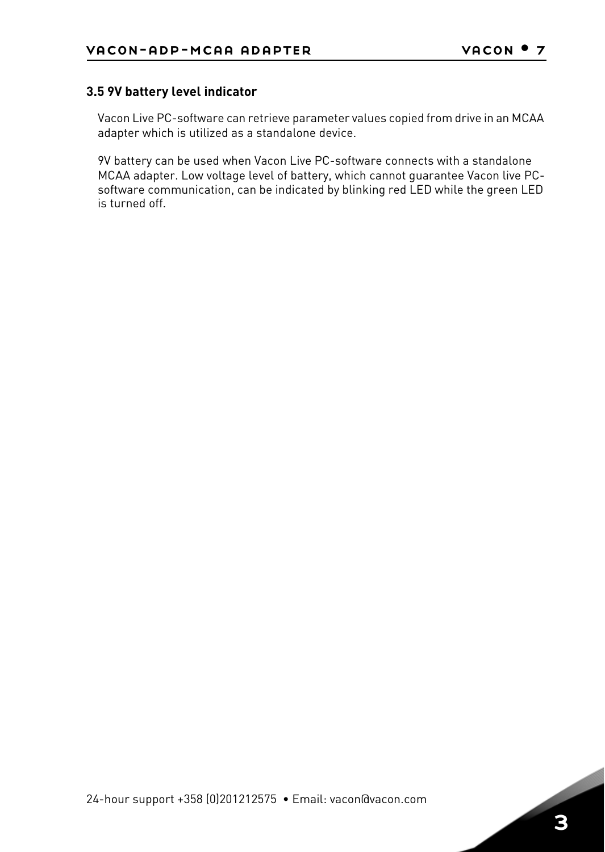#### **3.5 9V battery level indicator**

Vacon Live PC-software can retrieve parameter values copied from drive in an MCAA adapter which is utilized as a standalone device.

9V battery can be used when Vacon Live PC-software connects with a standalone MCAA adapter. Low voltage level of battery, which cannot guarantee Vacon live PCsoftware communication, can be indicated by blinking red LED while the green LED is turned off.